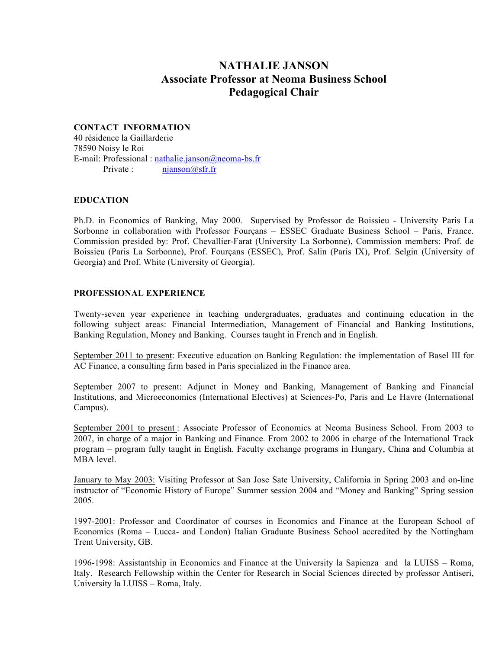# **NATHALIE JANSON Associate Professor at Neoma Business School Pedagogical Chair**

## **CONTACT INFORMATION**

40 résidence la Gaillarderie 78590 Noisy le Roi E-mail: Professional : nathalie.janson@neoma-bs.fr Private : njanson@sfr.fr

## **EDUCATION**

Ph.D. in Economics of Banking, May 2000. Supervised by Professor de Boissieu - University Paris La Sorbonne in collaboration with Professor Fourçans – ESSEC Graduate Business School – Paris, France. Commission presided by: Prof. Chevallier-Farat (University La Sorbonne), Commission members: Prof. de Boissieu (Paris La Sorbonne), Prof. Fourçans (ESSEC), Prof. Salin (Paris IX), Prof. Selgin (University of Georgia) and Prof. White (University of Georgia).

## **PROFESSIONAL EXPERIENCE**

Twenty-seven year experience in teaching undergraduates, graduates and continuing education in the following subject areas: Financial Intermediation, Management of Financial and Banking Institutions, Banking Regulation, Money and Banking. Courses taught in French and in English.

September 2011 to present: Executive education on Banking Regulation: the implementation of Basel III for AC Finance, a consulting firm based in Paris specialized in the Finance area.

September 2007 to present: Adjunct in Money and Banking, Management of Banking and Financial Institutions, and Microeconomics (International Electives) at Sciences-Po, Paris and Le Havre (International Campus).

September 2001 to present : Associate Professor of Economics at Neoma Business School. From 2003 to 2007, in charge of a major in Banking and Finance. From 2002 to 2006 in charge of the International Track program – program fully taught in English. Faculty exchange programs in Hungary, China and Columbia at MBA level.

January to May 2003: Visiting Professor at San Jose Sate University, California in Spring 2003 and on-line instructor of "Economic History of Europe" Summer session 2004 and "Money and Banking" Spring session 2005.

1997-2001: Professor and Coordinator of courses in Economics and Finance at the European School of Economics (Roma – Lucca- and London) Italian Graduate Business School accredited by the Nottingham Trent University, GB.

1996-1998: Assistantship in Economics and Finance at the University la Sapienza and la LUISS – Roma, Italy. Research Fellowship within the Center for Research in Social Sciences directed by professor Antiseri, University la LUISS – Roma, Italy.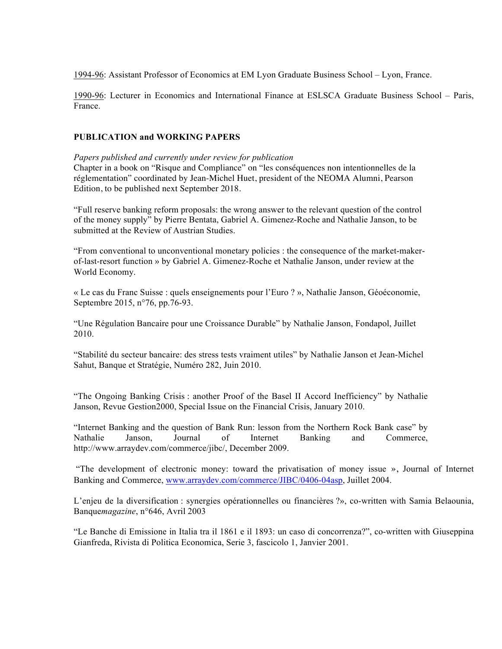1994-96: Assistant Professor of Economics at EM Lyon Graduate Business School – Lyon, France.

1990-96: Lecturer in Economics and International Finance at ESLSCA Graduate Business School – Paris, France.

## **PUBLICATION and WORKING PAPERS**

*Papers published and currently under review for publication*

Chapter in a book on "Risque and Compliance" on "les conséquences non intentionnelles de la réglementation" coordinated by Jean-Michel Huet, president of the NEOMA Alumni, Pearson Edition, to be published next September 2018.

"Full reserve banking reform proposals: the wrong answer to the relevant question of the control of the money supply" by Pierre Bentata, Gabriel A. Gimenez-Roche and Nathalie Janson, to be submitted at the Review of Austrian Studies.

"From conventional to unconventional monetary policies : the consequence of the market-makerof-last-resort function » by Gabriel A. Gimenez-Roche et Nathalie Janson, under review at the World Economy.

« Le cas du Franc Suisse : quels enseignements pour l'Euro ? », Nathalie Janson, Géoéconomie, Septembre 2015, n°76, pp.76-93.

"Une Régulation Bancaire pour une Croissance Durable" by Nathalie Janson, Fondapol, Juillet 2010.

"Stabilité du secteur bancaire: des stress tests vraiment utiles" by Nathalie Janson et Jean-Michel Sahut, Banque et Stratégie, Numéro 282, Juin 2010.

"The Ongoing Banking Crisis : another Proof of the Basel II Accord Inefficiency" by Nathalie Janson, Revue Gestion2000, Special Issue on the Financial Crisis, January 2010.

"Internet Banking and the question of Bank Run: lesson from the Northern Rock Bank case" by Nathalie Janson, Journal of Internet Banking and Commerce, http://www.arraydev.com/commerce/jibc/, December 2009.

"The development of electronic money: toward the privatisation of money issue », Journal of Internet Banking and Commerce, www.arraydev.com/commerce/JIBC/0406-04asp, Juillet 2004.

L'enjeu de la diversification : synergies opérationnelles ou financières ?», co-written with Samia Belaounia, Banque*magazine*, n°646, Avril 2003

"Le Banche di Emissione in Italia tra il 1861 e il 1893: un caso di concorrenza?", co-written with Giuseppina Gianfreda, Rivista di Politica Economica, Serie 3, fascicolo 1, Janvier 2001.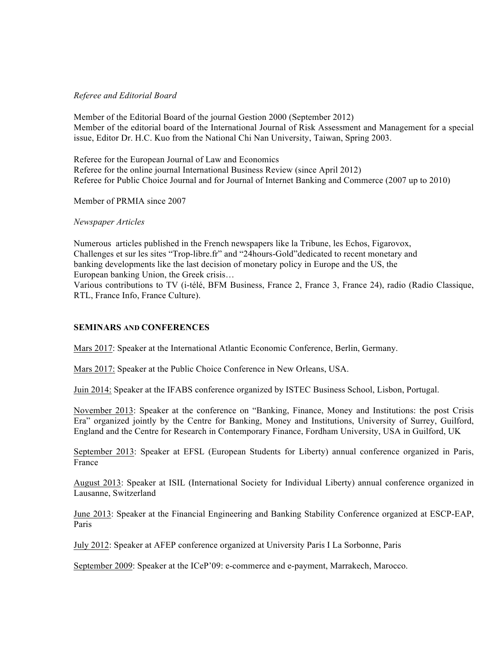#### *Referee and Editorial Board*

Member of the Editorial Board of the journal Gestion 2000 (September 2012) Member of the editorial board of the International Journal of Risk Assessment and Management for a special issue, Editor Dr. H.C. Kuo from the National Chi Nan University, Taiwan, Spring 2003.

Referee for the European Journal of Law and Economics Referee for the online journal International Business Review (since April 2012) Referee for Public Choice Journal and for Journal of Internet Banking and Commerce (2007 up to 2010)

Member of PRMIA since 2007

*Newspaper Articles*

Numerous articles published in the French newspapers like la Tribune, les Echos, Figarovox, Challenges et sur les sites "Trop-libre.fr" and "24hours-Gold"dedicated to recent monetary and banking developments like the last decision of monetary policy in Europe and the US, the European banking Union, the Greek crisis… Various contributions to TV (i-télé, BFM Business, France 2, France 3, France 24), radio (Radio Classique,

RTL, France Info, France Culture).

## **SEMINARS AND CONFERENCES**

Mars 2017: Speaker at the International Atlantic Economic Conference, Berlin, Germany.

Mars 2017: Speaker at the Public Choice Conference in New Orleans, USA.

Juin 2014: Speaker at the IFABS conference organized by ISTEC Business School, Lisbon, Portugal.

November 2013: Speaker at the conference on "Banking, Finance, Money and Institutions: the post Crisis Era" organized jointly by the Centre for Banking, Money and Institutions, University of Surrey, Guilford, England and the Centre for Research in Contemporary Finance, Fordham University, USA in Guilford, UK

September 2013: Speaker at EFSL (European Students for Liberty) annual conference organized in Paris, France

August 2013: Speaker at ISIL (International Society for Individual Liberty) annual conference organized in Lausanne, Switzerland

June 2013: Speaker at the Financial Engineering and Banking Stability Conference organized at ESCP-EAP, Paris

July 2012: Speaker at AFEP conference organized at University Paris I La Sorbonne, Paris

September 2009: Speaker at the ICeP'09: e-commerce and e-payment, Marrakech, Marocco.